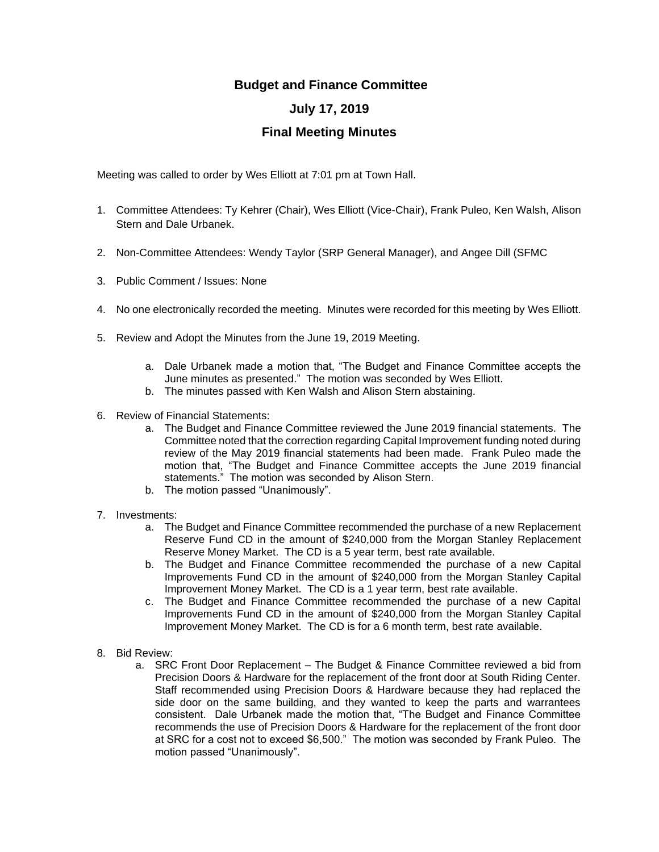## **Budget and Finance Committee**

## **July 17, 2019**

## **Final Meeting Minutes**

Meeting was called to order by Wes Elliott at 7:01 pm at Town Hall.

- 1. Committee Attendees: Ty Kehrer (Chair), Wes Elliott (Vice-Chair), Frank Puleo, Ken Walsh, Alison Stern and Dale Urbanek.
- 2. Non-Committee Attendees: Wendy Taylor (SRP General Manager), and Angee Dill (SFMC
- 3. Public Comment / Issues: None
- 4. No one electronically recorded the meeting. Minutes were recorded for this meeting by Wes Elliott.
- 5. Review and Adopt the Minutes from the June 19, 2019 Meeting.
	- a. Dale Urbanek made a motion that, "The Budget and Finance Committee accepts the June minutes as presented." The motion was seconded by Wes Elliott.
	- b. The minutes passed with Ken Walsh and Alison Stern abstaining.
- 6. Review of Financial Statements:
	- a. The Budget and Finance Committee reviewed the June 2019 financial statements. The Committee noted that the correction regarding Capital Improvement funding noted during review of the May 2019 financial statements had been made. Frank Puleo made the motion that, "The Budget and Finance Committee accepts the June 2019 financial statements." The motion was seconded by Alison Stern.
	- b. The motion passed "Unanimously".
- 7. Investments:
	- a. The Budget and Finance Committee recommended the purchase of a new Replacement Reserve Fund CD in the amount of \$240,000 from the Morgan Stanley Replacement Reserve Money Market. The CD is a 5 year term, best rate available.
	- b. The Budget and Finance Committee recommended the purchase of a new Capital Improvements Fund CD in the amount of \$240,000 from the Morgan Stanley Capital Improvement Money Market. The CD is a 1 year term, best rate available.
	- c. The Budget and Finance Committee recommended the purchase of a new Capital Improvements Fund CD in the amount of \$240,000 from the Morgan Stanley Capital Improvement Money Market. The CD is for a 6 month term, best rate available.
- 8. Bid Review:
	- a. SRC Front Door Replacement The Budget & Finance Committee reviewed a bid from Precision Doors & Hardware for the replacement of the front door at South Riding Center. Staff recommended using Precision Doors & Hardware because they had replaced the side door on the same building, and they wanted to keep the parts and warrantees consistent. Dale Urbanek made the motion that, "The Budget and Finance Committee recommends the use of Precision Doors & Hardware for the replacement of the front door at SRC for a cost not to exceed \$6,500." The motion was seconded by Frank Puleo. The motion passed "Unanimously".